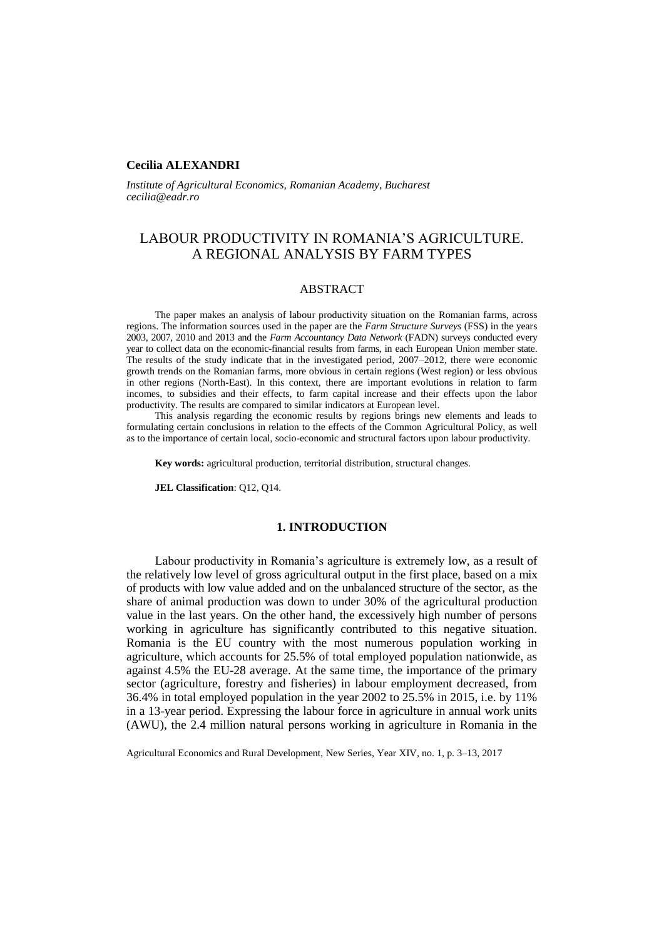## **Cecilia ALEXANDRI**

*Institute of Agricultural Economics, Romanian Academy, Bucharest cecilia@eadr.ro*

# LABOUR PRODUCTIVITY IN ROMANIA'S AGRICULTURE. A REGIONAL ANALYSIS BY FARM TYPES

## **ABSTRACT**

The paper makes an analysis of labour productivity situation on the Romanian farms, across regions. The information sources used in the paper are the *Farm Structure Surveys* (FSS) in the years 2003, 2007, 2010 and 2013 and the *Farm Accountancy Data Network* (FADN) surveys conducted every year to collect data on the economic-financial results from farms, in each European Union member state. The results of the study indicate that in the investigated period, 2007–2012, there were economic growth trends on the Romanian farms, more obvious in certain regions (West region) or less obvious in other regions (North-East). In this context, there are important evolutions in relation to farm incomes, to subsidies and their effects, to farm capital increase and their effects upon the labor productivity. The results are compared to similar indicators at European level.

This analysis regarding the economic results by regions brings new elements and leads to formulating certain conclusions in relation to the effects of the Common Agricultural Policy, as well as to the importance of certain local, socio-economic and structural factors upon labour productivity.

**Key words:** agricultural production, territorial distribution, structural changes.

**JEL Classification**: Q12, Q14.

## **1. INTRODUCTION**

Labour productivity in Romania's agriculture is extremely low, as a result of the relatively low level of gross agricultural output in the first place, based on a mix of products with low value added and on the unbalanced structure of the sector, as the share of animal production was down to under 30% of the agricultural production value in the last years. On the other hand, the excessively high number of persons working in agriculture has significantly contributed to this negative situation. Romania is the EU country with the most numerous population working in agriculture, which accounts for 25.5% of total employed population nationwide, as against 4.5% the EU-28 average. At the same time, the importance of the primary sector (agriculture, forestry and fisheries) in labour employment decreased, from 36.4% in total employed population in the year 2002 to 25.5% in 2015, i.e. by 11% in a 13-year period. Expressing the labour force in agriculture in annual work units (AWU), the 2.4 million natural persons working in agriculture in Romania in the

Agricultural Economics and Rural Development, New Series, Year XIV, no. 1, p. 3–13, 2017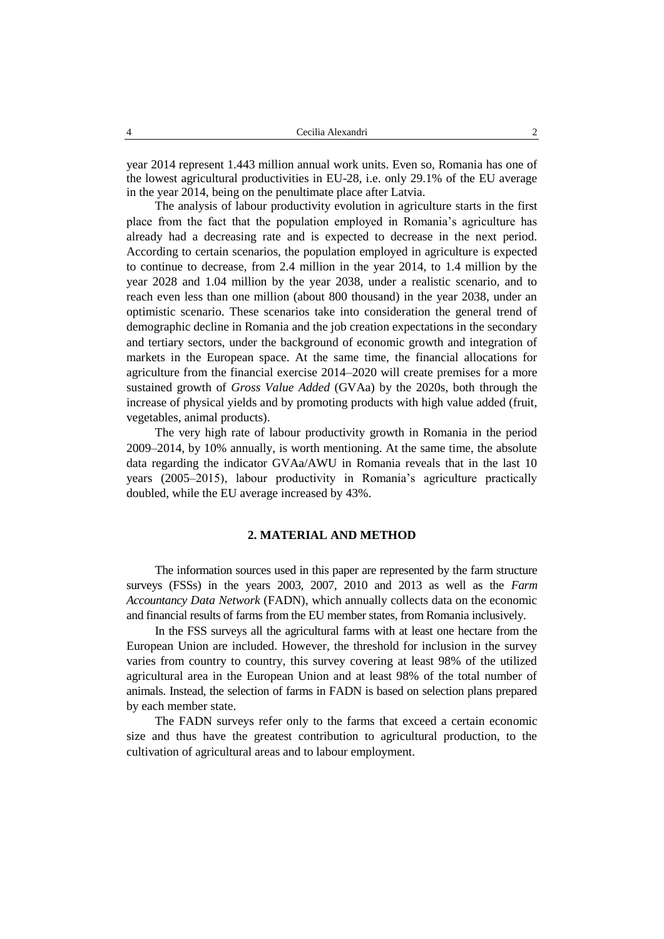year 2014 represent 1.443 million annual work units. Even so, Romania has one of the lowest agricultural productivities in EU-28, i.e. only 29.1% of the EU average in the year 2014, being on the penultimate place after Latvia.

The analysis of labour productivity evolution in agriculture starts in the first place from the fact that the population employed in Romania's agriculture has already had a decreasing rate and is expected to decrease in the next period. According to certain scenarios, the population employed in agriculture is expected to continue to decrease, from 2.4 million in the year 2014, to 1.4 million by the year 2028 and 1.04 million by the year 2038, under a realistic scenario, and to reach even less than one million (about 800 thousand) in the year 2038, under an optimistic scenario. These scenarios take into consideration the general trend of demographic decline in Romania and the job creation expectations in the secondary and tertiary sectors, under the background of economic growth and integration of markets in the European space. At the same time, the financial allocations for agriculture from the financial exercise 2014–2020 will create premises for a more sustained growth of *Gross Value Added* (GVAa) by the 2020s, both through the increase of physical yields and by promoting products with high value added (fruit, vegetables, animal products).

The very high rate of labour productivity growth in Romania in the period 2009–2014, by 10% annually, is worth mentioning. At the same time, the absolute data regarding the indicator GVAa/AWU in Romania reveals that in the last 10 years (2005–2015), labour productivity in Romania's agriculture practically doubled, while the EU average increased by 43%.

## **2. MATERIAL AND METHOD**

The information sources used in this paper are represented by the farm structure surveys (FSSs) in the years 2003, 2007, 2010 and 2013 as well as the *Farm Accountancy Data Network* (FADN), which annually collects data on the economic and financial results of farms from the EU member states, from Romania inclusively.

In the FSS surveys all the agricultural farms with at least one hectare from the European Union are included. However, the threshold for inclusion in the survey varies from country to country, this survey covering at least 98% of the utilized agricultural area in the European Union and at least 98% of the total number of animals. Instead, the selection of farms in FADN is based on selection plans prepared by each member state.

The FADN surveys refer only to the farms that exceed a certain economic size and thus have the greatest contribution to agricultural production, to the cultivation of agricultural areas and to labour employment.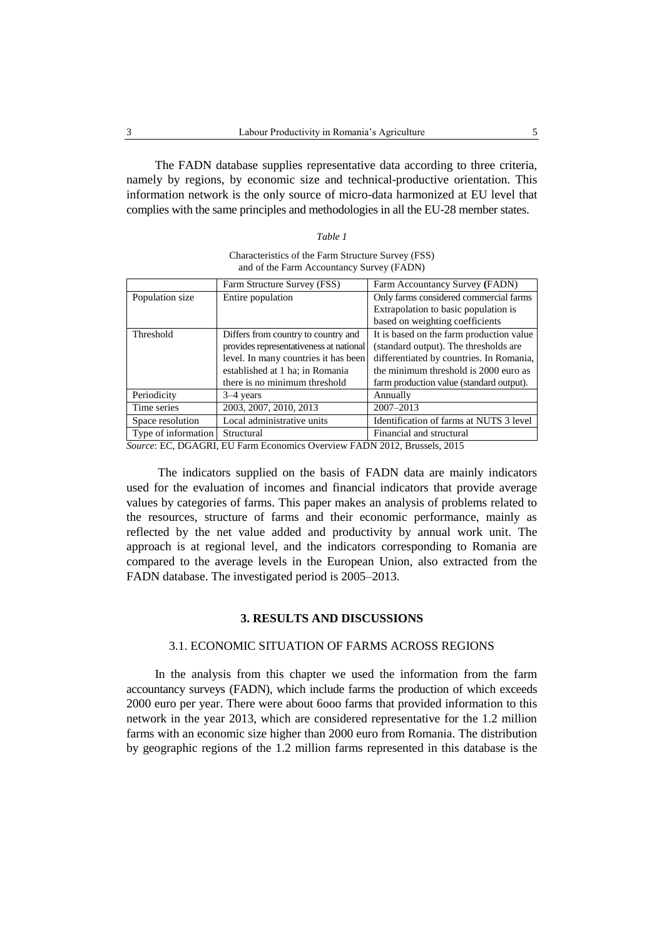The FADN database supplies representative data according to three criteria, namely by regions, by economic size and technical-productive orientation. This information network is the only source of micro-data harmonized at EU level that complies with the same principles and methodologies in all the EU-28 member states.

*Table 1*

Characteristics of the Farm Structure Survey (FSS) and of the Farm Accountancy Survey (FADN)

|                     | Farm Structure Survey (FSS)             | Farm Accountancy Survey (FADN)           |
|---------------------|-----------------------------------------|------------------------------------------|
| Population size     | Entire population                       | Only farms considered commercial farms   |
|                     |                                         | Extrapolation to basic population is     |
|                     |                                         | based on weighting coefficients          |
| Threshold           | Differs from country to country and     | It is based on the farm production value |
|                     | provides representativeness at national | (standard output). The thresholds are    |
|                     | level. In many countries it has been    | differentiated by countries. In Romania, |
|                     | established at 1 ha; in Romania         | the minimum threshold is 2000 euro as    |
|                     | there is no minimum threshold           | farm production value (standard output). |
| Periodicity         | $3-4$ years                             | Annually                                 |
| Time series         | 2003, 2007, 2010, 2013                  | 2007-2013                                |
| Space resolution    | Local administrative units              | Identification of farms at NUTS 3 level  |
| Type of information | Structural                              | Financial and structural                 |

*Source*: EC, DGAGRI, EU Farm Economics Overview FADN 2012, Brussels, 2015

The indicators supplied on the basis of FADN data are mainly indicators used for the evaluation of incomes and financial indicators that provide average values by categories of farms. This paper makes an analysis of problems related to the resources, structure of farms and their economic performance, mainly as reflected by the net value added and productivity by annual work unit. The approach is at regional level, and the indicators corresponding to Romania are compared to the average levels in the European Union, also extracted from the FADN database. The investigated period is 2005–2013.

## **3. RESULTS AND DISCUSSIONS**

## 3.1. ECONOMIC SITUATION OF FARMS ACROSS REGIONS

In the analysis from this chapter we used the information from the farm accountancy surveys (FADN), which include farms the production of which exceeds 2000 euro per year. There were about 6ooo farms that provided information to this network in the year 2013, which are considered representative for the 1.2 million farms with an economic size higher than 2000 euro from Romania. The distribution by geographic regions of the 1.2 million farms represented in this database is the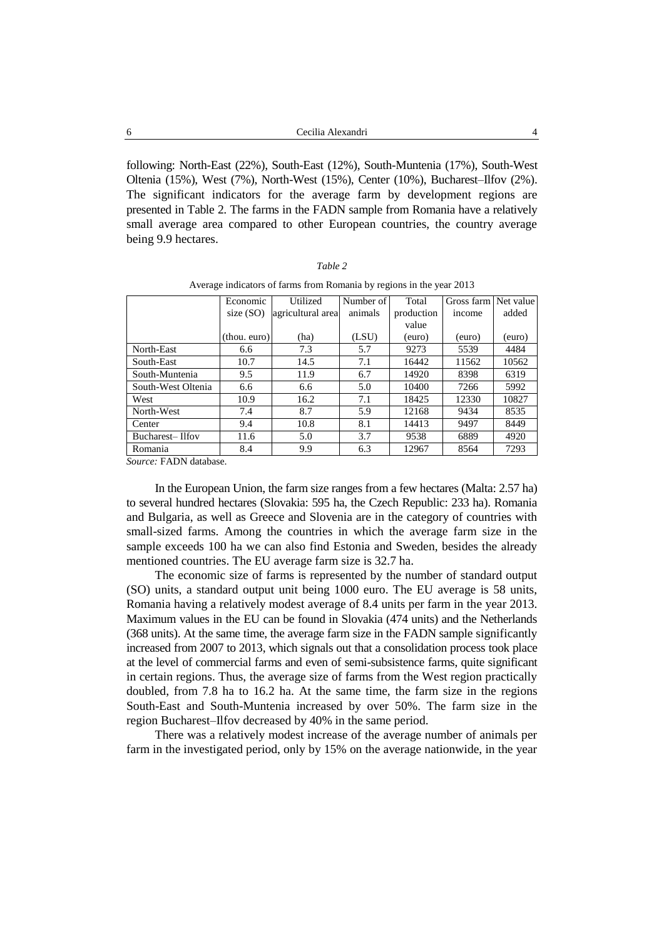following: North-East (22%), South-East (12%), South-Muntenia (17%), South-West Oltenia (15%), West (7%), North-West (15%), Center (10%), Bucharest–Ilfov (2%). The significant indicators for the average farm by development regions are presented in Table 2. The farms in the FADN sample from Romania have a relatively small average area compared to other European countries, the country average being 9.9 hectares.

| ani<br>۰ |  |
|----------|--|
|          |  |

| Average indicators of farms from Romania by regions in the year 2013 |  |  |  |  |
|----------------------------------------------------------------------|--|--|--|--|
|                                                                      |  |  |  |  |

| Economic     | Utilized | Number of | Total             | Gross farm Net value |        |
|--------------|----------|-----------|-------------------|----------------------|--------|
| size $(SO)$  |          | animals   | production        | income               | added  |
|              |          |           | value             |                      |        |
| (thou. euro) | (ha)     | (LSU)     | (euro)            | (euro)               | (euro) |
| 6.6          | 7.3      | 5.7       | 9273              | 5539                 | 4484   |
| 10.7         | 14.5     | 7.1       | 16442             | 11562                | 10562  |
| 9.5          | 11.9     | 6.7       | 14920             | 8398                 | 6319   |
| 6.6          | 6.6      | 5.0       | 10400             | 7266                 | 5992   |
| 10.9         | 16.2     | 7.1       | 18425             | 12330                | 10827  |
| 7.4          | 8.7      | 5.9       | 12168             | 9434                 | 8535   |
| 9.4          | 10.8     | 8.1       | 14413             | 9497                 | 8449   |
| 11.6         | 5.0      | 3.7       | 9538              | 6889                 | 4920   |
| 8.4          | 9.9      | 6.3       | 12967             | 8564                 | 7293   |
|              |          |           | agricultural area |                      |        |

*Source:* FADN database.

In the European Union, the farm size ranges from a few hectares (Malta: 2.57 ha) to several hundred hectares (Slovakia: 595 ha, the Czech Republic: 233 ha). Romania and Bulgaria, as well as Greece and Slovenia are in the category of countries with small-sized farms. Among the countries in which the average farm size in the sample exceeds 100 ha we can also find Estonia and Sweden, besides the already mentioned countries. The EU average farm size is 32.7 ha.

The economic size of farms is represented by the number of standard output (SO) units, a standard output unit being 1000 euro. The EU average is 58 units, Romania having a relatively modest average of 8.4 units per farm in the year 2013. Maximum values in the EU can be found in Slovakia (474 units) and the Netherlands (368 units). At the same time, the average farm size in the FADN sample significantly increased from 2007 to 2013, which signals out that a consolidation process took place at the level of commercial farms and even of semi-subsistence farms, quite significant in certain regions. Thus, the average size of farms from the West region practically doubled, from 7.8 ha to 16.2 ha. At the same time, the farm size in the regions South-East and South-Muntenia increased by over 50%. The farm size in the region Bucharest–Ilfov decreased by 40% in the same period.

There was a relatively modest increase of the average number of animals per farm in the investigated period, only by 15% on the average nationwide, in the year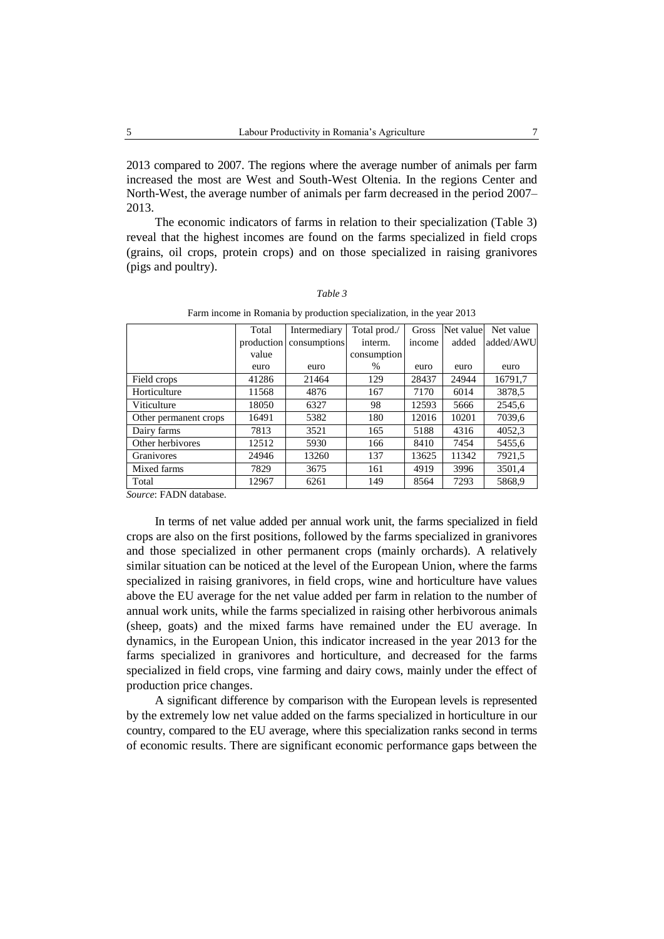2013 compared to 2007. The regions where the average number of animals per farm increased the most are West and South-West Oltenia. In the regions Center and North-West, the average number of animals per farm decreased in the period 2007– 2013.

The economic indicators of farms in relation to their specialization (Table 3) reveal that the highest incomes are found on the farms specialized in field crops (grains, oil crops, protein crops) and on those specialized in raising granivores (pigs and poultry).

|                       | Total      | Intermediary | Total prod./ | Gross  | Net value | Net value |
|-----------------------|------------|--------------|--------------|--------|-----------|-----------|
|                       | production | consumptions | interm.      | income | added     | added/AWU |
|                       | value      |              | consumption  |        |           |           |
|                       | euro       | euro         | $\%$         | euro   | euro      | euro      |
| Field crops           | 41286      | 21464        | 129          | 28437  | 24944     | 16791,7   |
| Horticulture          | 11568      | 4876         | 167          | 7170   | 6014      | 3878.5    |
| Viticulture           | 18050      | 6327         | 98           | 12593  | 5666      | 2545.6    |
| Other permanent crops | 16491      | 5382         | 180          | 12016  | 10201     | 7039.6    |
| Dairy farms           | 7813       | 3521         | 165          | 5188   | 4316      | 4052,3    |
| Other herbivores      | 12512      | 5930         | 166          | 8410   | 7454      | 5455,6    |
| Granivores            | 24946      | 13260        | 137          | 13625  | 11342     | 7921,5    |
| Mixed farms           | 7829       | 3675         | 161          | 4919   | 3996      | 3501.4    |
| Total                 | 12967      | 6261         | 149          | 8564   | 7293      | 5868,9    |

*Table 3* Farm income in Romania by production specialization, in the year 2013

*Source*: FADN database.

In terms of net value added per annual work unit, the farms specialized in field crops are also on the first positions, followed by the farms specialized in granivores and those specialized in other permanent crops (mainly orchards). A relatively similar situation can be noticed at the level of the European Union, where the farms specialized in raising granivores, in field crops, wine and horticulture have values above the EU average for the net value added per farm in relation to the number of annual work units, while the farms specialized in raising other herbivorous animals (sheep, goats) and the mixed farms have remained under the EU average. In dynamics, in the European Union, this indicator increased in the year 2013 for the farms specialized in granivores and horticulture, and decreased for the farms specialized in field crops, vine farming and dairy cows, mainly under the effect of production price changes.

A significant difference by comparison with the European levels is represented by the extremely low net value added on the farms specialized in horticulture in our country, compared to the EU average, where this specialization ranks second in terms of economic results. There are significant economic performance gaps between the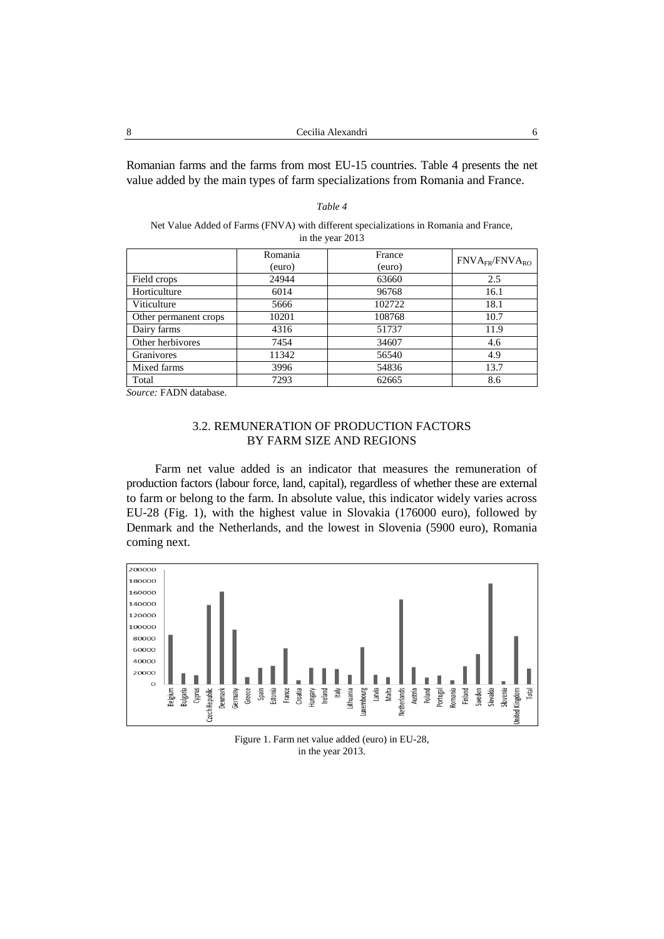Romanian farms and the farms from most EU-15 countries. Table 4 presents the net value added by the main types of farm specializations from Romania and France.

| Net Value Added of Farms (FNVA) with different specializations in Romania and France, |
|---------------------------------------------------------------------------------------|
| in the year 2013                                                                      |

*Table 4*

|                       | Romania | France |                       |
|-----------------------|---------|--------|-----------------------|
|                       | (euro)  | (euro) | $FNVA_{FR}/FNVA_{RO}$ |
| Field crops           | 24944   | 63660  | 2.5                   |
| Horticulture          | 6014    | 96768  | 16.1                  |
| Viticulture           | 5666    | 102722 | 18.1                  |
| Other permanent crops | 10201   | 108768 | 10.7                  |
| Dairy farms           | 4316    | 51737  | 11.9                  |
| Other herbivores      | 7454    | 34607  | 4.6                   |
| Granivores            | 11342   | 56540  | 4.9                   |
| Mixed farms           | 3996    | 54836  | 13.7                  |
| Total                 | 7293    | 62665  | 8.6                   |

*Source:* FADN database.

## 3.2. REMUNERATION OF PRODUCTION FACTORS BY FARM SIZE AND REGIONS

Farm net value added is an indicator that measures the remuneration of production factors (labour force, land, capital), regardless of whether these are external to farm or belong to the farm. In absolute value, this indicator widely varies across EU-28 (Fig. 1), with the highest value in Slovakia (176000 euro), followed by Denmark and the Netherlands, and the lowest in Slovenia (5900 euro), Romania coming next.



Figure 1. Farm net value added (euro) in EU-28, in the year 2013.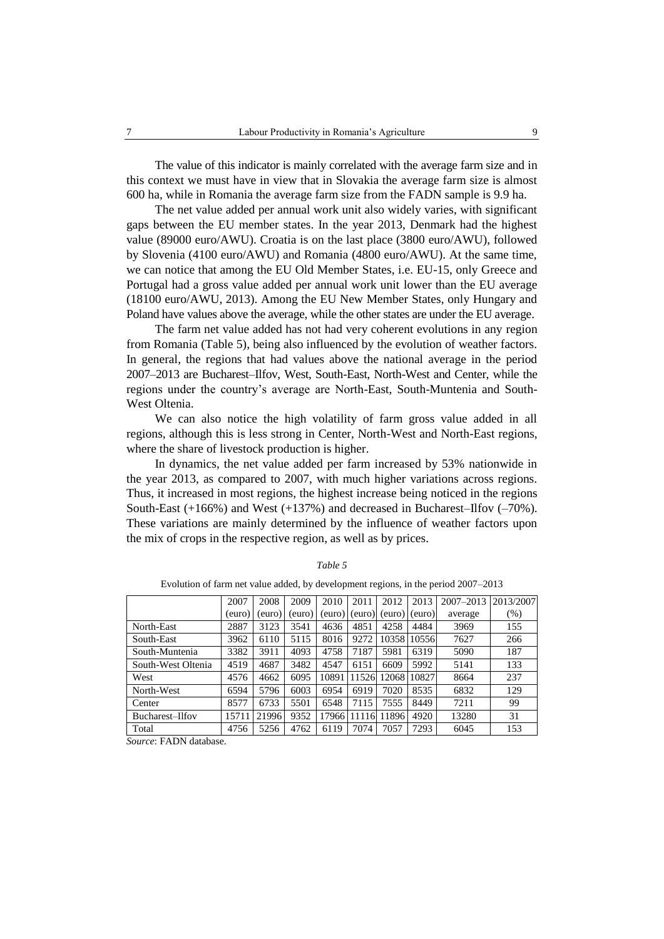The value of this indicator is mainly correlated with the average farm size and in this context we must have in view that in Slovakia the average farm size is almost 600 ha, while in Romania the average farm size from the FADN sample is 9.9 ha.

The net value added per annual work unit also widely varies, with significant gaps between the EU member states. In the year 2013, Denmark had the highest value (89000 euro/AWU). Croatia is on the last place (3800 euro/AWU), followed by Slovenia (4100 euro/AWU) and Romania (4800 euro/AWU). At the same time, we can notice that among the EU Old Member States, i.e. EU-15, only Greece and Portugal had a gross value added per annual work unit lower than the EU average (18100 euro/AWU, 2013). Among the EU New Member States, only Hungary and Poland have values above the average, while the other states are under the EU average.

The farm net value added has not had very coherent evolutions in any region from Romania (Table 5), being also influenced by the evolution of weather factors. In general, the regions that had values above the national average in the period 2007–2013 are Bucharest–Ilfov, West, South-East, North-West and Center, while the regions under the country's average are North-East, South-Muntenia and South-West Oltenia.

We can also notice the high volatility of farm gross value added in all regions, although this is less strong in Center, North-West and North-East regions, where the share of livestock production is higher.

In dynamics, the net value added per farm increased by 53% nationwide in the year 2013, as compared to 2007, with much higher variations across regions. Thus, it increased in most regions, the highest increase being noticed in the regions South-East (+166%) and West (+137%) and decreased in Bucharest–Ilfov (–70%). These variations are mainly determined by the influence of weather factors upon the mix of crops in the respective region, as well as by prices.

|                    | 2007  | 2008   | 2009   | 2010   | 2011   | 2012  | 2013          | 2007-2013 | 2013/2007 |
|--------------------|-------|--------|--------|--------|--------|-------|---------------|-----------|-----------|
|                    | (euro | (euro) | (euro) | (euro) | (euro) |       | (euro) (euro) | average   | (% )      |
| North-East         | 2887  | 3123   | 3541   | 4636   | 4851   | 4258  | 4484          | 3969      | 155       |
| South-East         | 3962  | 6110   | 5115   | 8016   | 9272   | 10358 | 10556         | 7627      | 266       |
| South-Muntenia     | 3382  | 3911   | 4093   | 4758   | 7187   | 5981  | 6319          | 5090      | 187       |
| South-West Oltenia | 4519  | 4687   | 3482   | 4547   | 6151   | 6609  | 5992          | 5141      | 133       |
| West               | 4576  | 4662   | 6095   | 10891  | 11526  | 12068 | 10827         | 8664      | 237       |
| North-West         | 6594  | 5796   | 6003   | 6954   | 6919   | 7020  | 8535          | 6832      | 129       |
| Center             | 8577  | 6733   | 5501   | 6548   | 7115   | 7555  | 8449          | 7211      | 99        |
| Bucharest-Ilfov    | 1571  | 21996  | 9352   | 17966  | 11116  | 11896 | 4920          | 13280     | 31        |
| Total              | 4756  | 5256   | 4762   | 6119   | 7074   | 7057  | 7293          | 6045      | 153       |

*Table 5*

| Evolution of farm net value added, by development regions, in the period 2007–2013 |  |  |  |
|------------------------------------------------------------------------------------|--|--|--|
|------------------------------------------------------------------------------------|--|--|--|

*Source*: FADN database.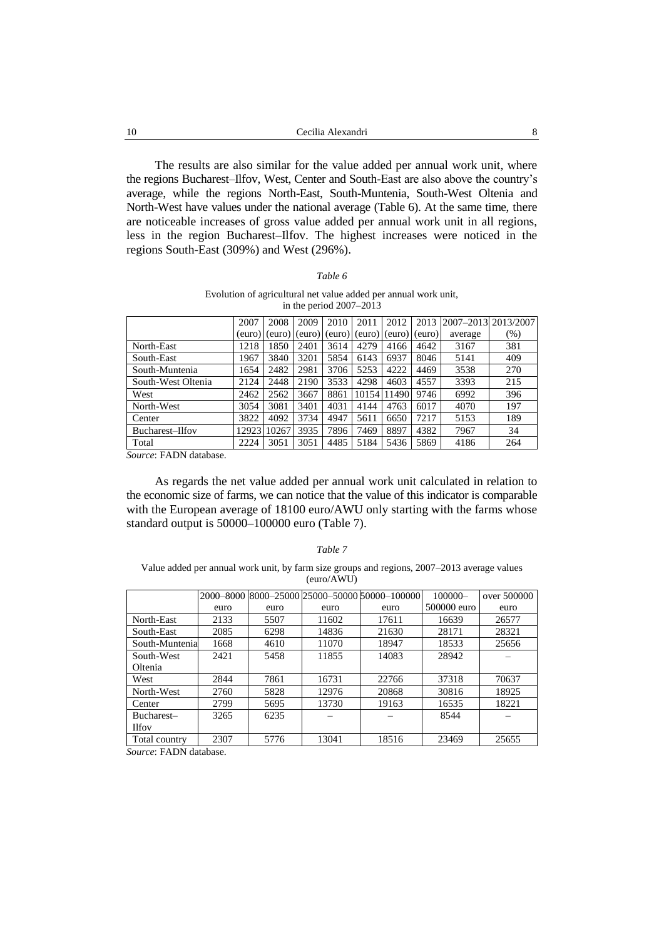The results are also similar for the value added per annual work unit, where the regions Bucharest–Ilfov, West, Center and South-East are also above the country's average, while the regions North-East, South-Muntenia, South-West Oltenia and North-West have values under the national average (Table 6). At the same time, there are noticeable increases of gross value added per annual work unit in all regions, less in the region Bucharest–Ilfov. The highest increases were noticed in the regions South-East (309%) and West (296%).

### *Table 6*

### Evolution of agricultural net value added per annual work unit, in the period 2007–2013

|                    | 2007  | 2008          | 2009   | 2010 | 2011                  | 2012   | 2013   | 2007-2013 2013/2007 |      |
|--------------------|-------|---------------|--------|------|-----------------------|--------|--------|---------------------|------|
|                    |       | (euro) (euro) | (euro) |      | $(euro)$ $(euro)$ $ $ | (euro) | (euro) | average             | (% ) |
| North-East         | 1218  | 1850          | 2401   | 3614 | 4279                  | 4166   | 4642   | 3167                | 381  |
| South-East         | 1967  | 3840          | 3201   | 5854 | 6143                  | 6937   | 8046   | 5141                | 409  |
| South-Muntenia     | 1654  | 2482          | 2981   | 3706 | 5253                  | 4222   | 4469   | 3538                | 270  |
| South-West Oltenia | 2124  | 2448          | 2190   | 3533 | 4298                  | 4603   | 4557   | 3393                | 215  |
| West               | 2462  | 2562          | 3667   | 8861 | 10154                 | 11490  | 9746   | 6992                | 396  |
| North-West         | 3054  | 3081          | 3401   | 4031 | 4144                  | 4763   | 6017   | 4070                | 197  |
| Center             | 3822  | 4092          | 3734   | 4947 | 5611                  | 6650   | 7217   | 5153                | 189  |
| Bucharest-Ilfov    | 12923 | 10267         | 3935   | 7896 | 7469                  | 8897   | 4382   | 7967                | 34   |
| Total              | 2224  | 3051          | 3051   | 4485 | 5184                  | 5436   | 5869   | 4186                | 264  |

*Source*: FADN database.

As regards the net value added per annual work unit calculated in relation to the economic size of farms, we can notice that the value of this indicator is comparable with the European average of 18100 euro/AWU only starting with the farms whose standard output is 50000–100000 euro (Table 7).

#### *Table 7*

Value added per annual work unit, by farm size groups and regions, 2007–2013 average values (euro/AWU)

|                 |      |      |       | 2000-8000 8000-25000 25000-50000 50000-100000 | $100000 -$  | over 500000 |
|-----------------|------|------|-------|-----------------------------------------------|-------------|-------------|
|                 | euro | euro | euro  | euro                                          | 500000 euro | euro        |
| North-East      | 2133 | 5507 | 11602 | 17611                                         | 16639       | 26577       |
| South-East      | 2085 | 6298 | 14836 | 21630                                         | 28171       | 28321       |
| South-Muntenial | 1668 | 4610 | 11070 | 18947                                         | 18533       | 25656       |
| South-West      | 2421 | 5458 | 11855 | 14083                                         | 28942       |             |
| Oltenia         |      |      |       |                                               |             |             |
| West            | 2844 | 7861 | 16731 | 22766                                         | 37318       | 70637       |
| North-West      | 2760 | 5828 | 12976 | 20868                                         | 30816       | 18925       |
| Center          | 2799 | 5695 | 13730 | 19163                                         | 16535       | 18221       |
| Bucharest-      | 3265 | 6235 |       |                                               | 8544        |             |
| <b>Ilfov</b>    |      |      |       |                                               |             |             |
| Total country   | 2307 | 5776 | 13041 | 18516                                         | 23469       | 25655       |

*Source*: FADN database.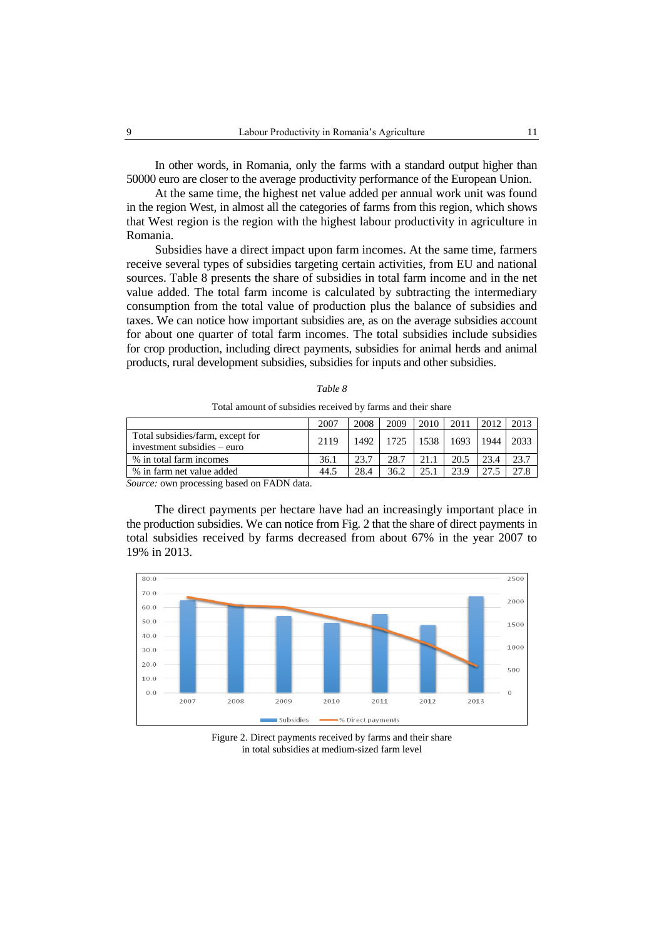In other words, in Romania, only the farms with a standard output higher than 50000 euro are closer to the average productivity performance of the European Union.

At the same time, the highest net value added per annual work unit was found in the region West, in almost all the categories of farms from this region, which shows that West region is the region with the highest labour productivity in agriculture in Romania.

Subsidies have a direct impact upon farm incomes. At the same time, farmers receive several types of subsidies targeting certain activities, from EU and national sources. Table 8 presents the share of subsidies in total farm income and in the net value added. The total farm income is calculated by subtracting the intermediary consumption from the total value of production plus the balance of subsidies and taxes. We can notice how important subsidies are, as on the average subsidies account for about one quarter of total farm incomes. The total subsidies include subsidies for crop production, including direct payments, subsidies for animal herds and animal products, rural development subsidies, subsidies for inputs and other subsidies.

|                                                                 | 2007 | 2008 | 2009 | 2010 | 2011 | 2012 | 2013 |
|-----------------------------------------------------------------|------|------|------|------|------|------|------|
| Total subsidies/farm, except for<br>investment subsidies – euro | 2119 | 1492 | 1725 | 1538 | 1693 | 1944 | 2033 |
| % in total farm incomes                                         | 36.1 | 23.7 | 28.7 | 21.1 | 20.5 | 23.4 |      |
| % in farm net value added                                       | 44.5 | 28.4 | 36.2 | 25.  | 23.9 |      |      |

*Table 8*

Total amount of subsidies received by farms and their share

*Source:* own processing based on FADN data.

The direct payments per hectare have had an increasingly important place in the production subsidies. We can notice from Fig. 2 that the share of direct payments in total subsidies received by farms decreased from about 67% in the year 2007 to 19% in 2013.



Figure 2. Direct payments received by farms and their share in total subsidies at medium-sized farm level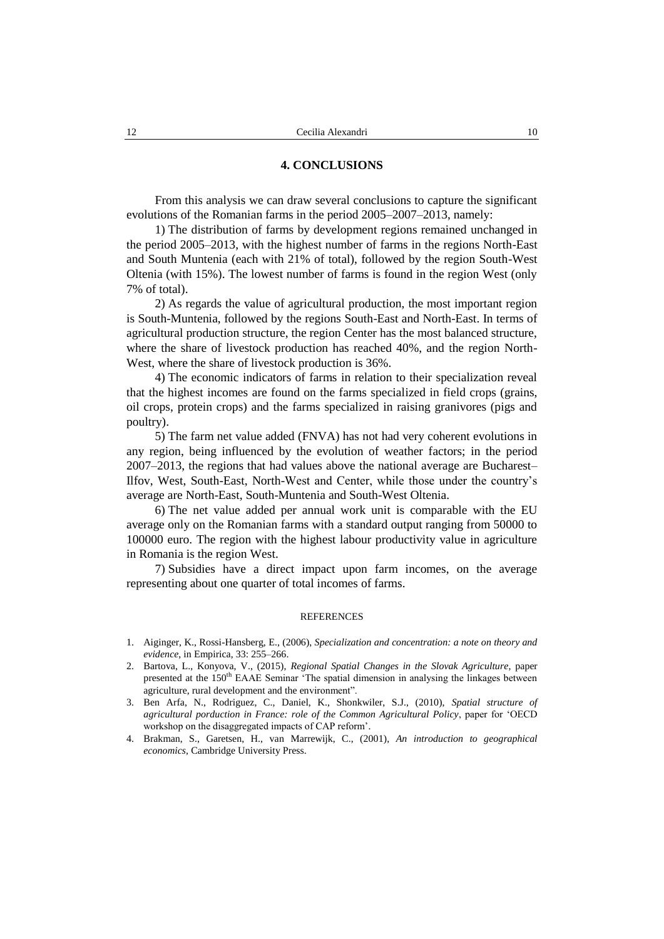## **4. CONCLUSIONS**

From this analysis we can draw several conclusions to capture the significant evolutions of the Romanian farms in the period 2005–2007–2013, namely:

1) The distribution of farms by development regions remained unchanged in the period 2005–2013, with the highest number of farms in the regions North-East and South Muntenia (each with 21% of total), followed by the region South-West Oltenia (with 15%). The lowest number of farms is found in the region West (only 7% of total).

2) As regards the value of agricultural production, the most important region is South-Muntenia, followed by the regions South-East and North-East. In terms of agricultural production structure, the region Center has the most balanced structure, where the share of livestock production has reached 40%, and the region North-West, where the share of livestock production is 36%.

4) The economic indicators of farms in relation to their specialization reveal that the highest incomes are found on the farms specialized in field crops (grains, oil crops, protein crops) and the farms specialized in raising granivores (pigs and poultry).

5) The farm net value added (FNVA) has not had very coherent evolutions in any region, being influenced by the evolution of weather factors; in the period 2007–2013, the regions that had values above the national average are Bucharest– Ilfov, West, South-East, North-West and Center, while those under the country's average are North-East, South-Muntenia and South-West Oltenia.

6) The net value added per annual work unit is comparable with the EU average only on the Romanian farms with a standard output ranging from 50000 to 100000 euro. The region with the highest labour productivity value in agriculture in Romania is the region West.

7) Subsidies have a direct impact upon farm incomes, on the average representing about one quarter of total incomes of farms.

## **REFERENCES**

- 1. Aiginger, K., Rossi-Hansberg, E., (2006), *Specialization and concentration: a note on theory and evidence*, in Empirica, 33: 255–266.
- 2. Bartova, L., Konyova, V., (2015), *Regional Spatial Changes in the Slovak Agriculture*, paper presented at the 150<sup>th</sup> EAAE Seminar 'The spatial dimension in analysing the linkages between agriculture, rural development and the environment".
- 3. Ben Arfa, N., Rodriguez, C., Daniel, K., Shonkwiler, S.J., (2010), *Spatial structure of agricultural porduction in France: role of the Common Agricultural Policy*, paper for 'OECD workshop on the disaggregated impacts of CAP reform'.
- 4. Brakman, S., Garetsen, H., van Marrewijk, C., (2001), *An introduction to geographical economics*, Cambridge University Press.